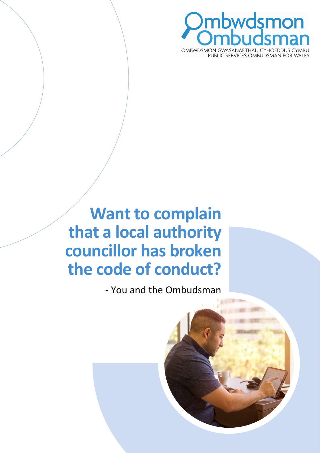

**Want to complain that a local authority councillor has broken the code of conduct?** 

- You and the Ombudsman

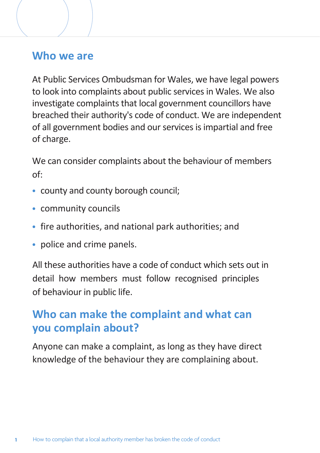#### **Who we are**

At Public Services Ombudsman for Wales, we have legal powers to look into complaints about public services in Wales. We also investigate complaints that local government councillors have breached their authority's code of conduct. We are independent of all government bodies and our services is impartial and free of charge.

We can consider complaints about the behaviour of members of:

- county and county borough council;
- community councils
- fire authorities, and national park authorities; and
- police and crime panels.

All these authorities have a code of conduct which sets out in detail how members must follow recognised principles of behaviour in public life.

## **Who can make the complaint and what can you complain about?**

Anyone can make a complaint, as long as they have direct knowledge of the behaviour they are complaining about.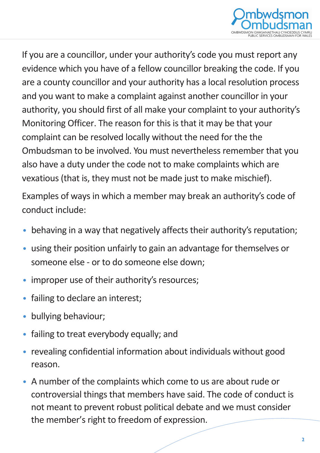

If you are a councillor, under your authority's code you must report any evidence which you have of a fellow councillor breaking the code. If you are a county councillor and your authority has a local resolution process and you want to make a complaint against another councillor in your authority, you should first of all make your complaint to your authority's Monitoring Officer. The reason for this is that it may be that your complaint can be resolved locally without the need for the the Ombudsman to be involved. You must nevertheless remember that you also have a duty under the code not to make complaints which are vexatious (that is, they must not be made just to make mischief).

Examples of ways in which a member may break an authority's code of conduct include:

- behaving in a way that negatively affects their authority's reputation;
- using their position unfairly to gain an advantage for themselves or someone else - or to do someone else down;
- improper use of their authority's resources:
- failing to declare an interest;
- bullying behaviour;
- failing to treat everybody equally; and
- revealing confidential information about individuals without good reason.
- A number of the complaints which come to us are about rude or controversial things that members have said. The code of conduct is not meant to prevent robust political debate and we must consider the member's right to freedom of expression.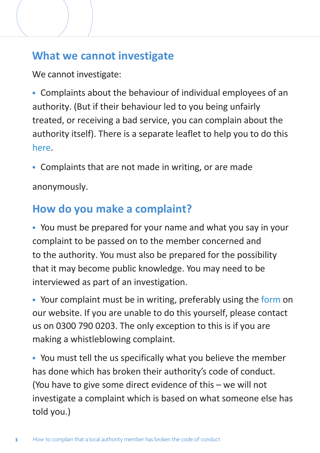## **What we cannot investigate**

We cannot investigate:

• Complaints about the behaviour of individual employees of an authority. (But if their behaviour led to you being unfairly treated, or receiving a bad service, you can complain about the authority itself). There is a separate leaflet to help you to do this [here.](https://www.ombudsman.wales/wp-content/uploads/2022/03/104453_How-to-Complain-about-a-Public-Body_E_v2-1-New-Logo.pdf)

• Complaints that are not made in writing, or are made

anonymously.

## **How do you make a complaint?**

• You must be prepared for your name and what you say in your complaint to be passed on to the member concerned and to the authority. You must also be prepared for the possibility that it may become public knowledge. You may need to be interviewed as part of an investigation.

• Your complaint must be in writing, preferably using the [form](https://www.ombudsman.wales/complaints/) on our website. If you are unable to do this yourself, please contact us on 0300 790 0203. The only exception to this is if you are making a whistleblowing complaint.

• You must tell the us specifically what you believe the member has done which has broken their authority's code of conduct. (You have to give some direct evidence of this – we will not investigate a complaint which is based on what someone else has told you.)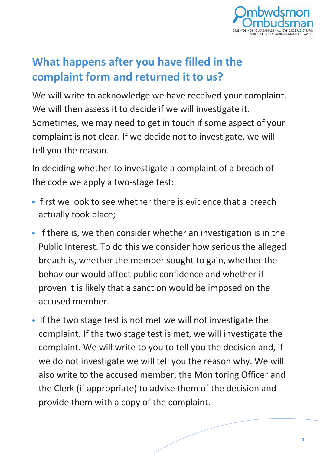

## **What happens after you have filled in the complaint form and returned it to us?**

We will write to acknowledge we have received your complaint. We will then assess it to decide if we will investigate it. Sometimes, we may need to get in touch if some aspect of your complaint is not clear. If we decide not to investigate, we will tell you the reason.

In deciding whether to investigate a complaint of a breach of the code we apply a two-stage test:

- first we look to see whether there is evidence that a breach actually took place;
- if there is, we then consider whether an investigation is in the Public Interest. To do this we consider how serious the alleged breach is, whether the member sought to gain, whether the behaviour would affect public confidence and whether if proven it is likely that a sanction would be imposed on the accused member.
- If the two stage test is not met we will not investigate the complaint. If the two stage test is met, we will investigate the complaint. We will write to you to tell you the decision and, if we do not investigate we will tell you the reason why. We will also write to the accused member, the Monitoring Officer and the Clerk (if appropriate) to advise them of the decision and provide them with a copy of the complaint.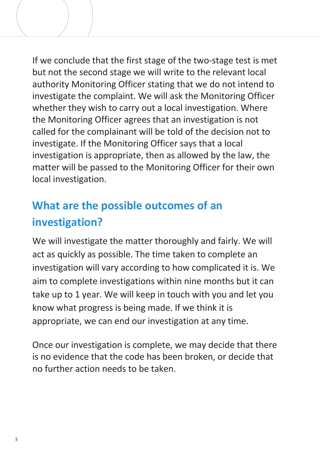If we conclude that the first stage of the two-stage test is met but not the second stage we will write to the relevant local authority Monitoring Officer stating that we do not intend to investigate the complaint. We will ask the Monitoring Officer whether they wish to carry out a local investigation. Where the Monitoring Officer agrees that an investigation is not called for the complainant will be told of the decision not to investigate. If the Monitoring Officer says that a local investigation is appropriate, then as allowed by the law, the matter will be passed to the Monitoring Officer for their own local investigation.

# **What are the possible outcomes of an investigation?**

We will investigate the matter thoroughly and fairly. We will act as quickly as possible. The time taken to complete an investigation will vary according to how complicated it is. We aim to complete investigations within nine months but it can take up to 1 year. We will keep in touch with you and let you know what progress is being made. If we think it is appropriate, we can end our investigation at any time.

Once our investigation is complete, we may decide that there is no evidence that the code has been broken, or decide that no further action needs to be taken.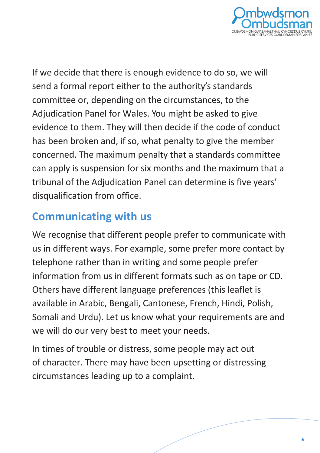

If we decide that there is enough evidence to do so, we will send a formal report either to the authority's standards committee or, depending on the circumstances, to the Adjudication Panel for Wales. You might be asked to give evidence to them. They will then decide if the code of conduct has been broken and, if so, what penalty to give the member concerned. The maximum penalty that a standards committee can apply is suspension for six months and the maximum that a tribunal of the Adjudication Panel can determine is five years' disqualification from office.

#### **Communicating with us**

We recognise that different people prefer to communicate with us in different ways. For example, some prefer more contact by telephone rather than in writing and some people prefer information from us in different formats such as on tape or CD. Others have different language preferences (this leaflet is available in Arabic, Bengali, Cantonese, French, Hindi, Polish, Somali and Urdu). Let us know what your requirements are and we will do our very best to meet your needs.

In times of trouble or distress, some people may act out of character. There may have been upsetting or distressing circumstances leading up to a complaint.